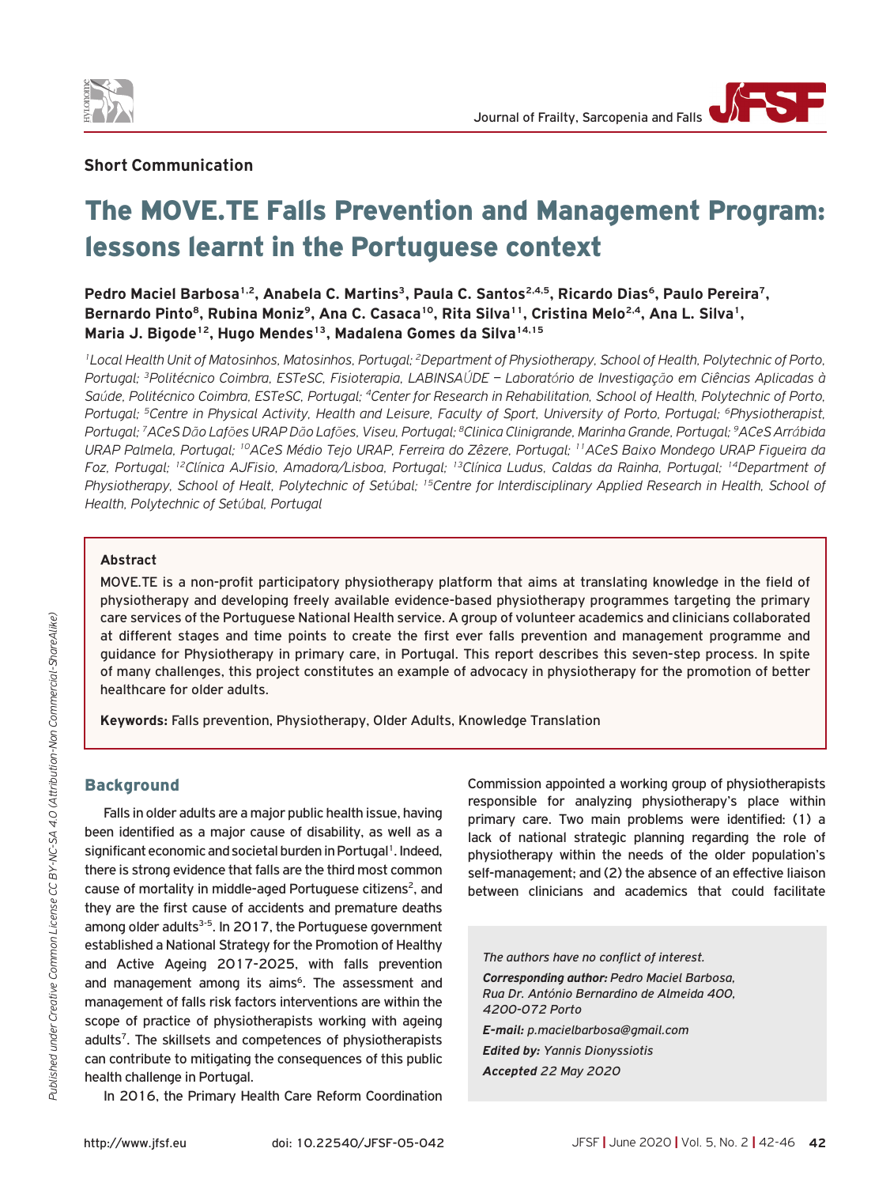



# The MOVE.TE Falls Prevention and Management Program: lessons learnt in the Portuguese context

Pedro Maciel Barbosa<sup>1,2</sup>, Anabela C. Martins<sup>3</sup>, Paula C. Santos<sup>2,4,5</sup>, Ricardo Dias<sup>6</sup>, Paulo Pereira<sup>7</sup>, Bernardo Pinto<sup>8</sup>, Rubina Moniz<sup>9</sup>, Ana C. Casaca<sup>10</sup>, Rita Silva<sup>11</sup>, Cristina Melo<sup>2,4</sup>, Ana L. Silva<sup>1</sup>, Maria J. Bigode<sup>12</sup>, Hugo Mendes<sup>13</sup>, Madalena Gomes da Silva<sup>14,15</sup>

<sup>1</sup>Local Health Unit of Matosinhos, Matosinhos, Portugal; <sup>2</sup>Department of Physiotherapy, School of Health, Polytechnic of Porto, Portugal; <sup>3</sup>Politécnico Coimbra, ESTeSC, Fisioterapia, LABINSAÚDE - Laboratório de Investigação em Ciências Aplicadas à Saúde, Politécnico Coimbra, ESTeSC, Portugal; <sup>4</sup>Center for Research in Rehabilitation, School of Health, Polytechnic of Porto, Portugal: <sup>5</sup>Centre in Physical Activity, Health and Leisure, Faculty of Sport, University of Porto, Portugal: <sup>6</sup>Physiotherapist, Portugal: <sup>7</sup>ACeS Dão Lafões URAP Dão Lafões, Viseu, Portugal: <sup>8</sup>Clinica Clinigrande, Marinha Grande, Portugal: <sup>9</sup>ACeS Arrábida URAP Palmela, Portugal; <sup>10</sup>ACeS Médio Tejo URAP, Ferreira do Zêzere, Portugal; <sup>11</sup>ACeS Baixo Mondego URAP Figueira da Foz, Portugal; <sup>12</sup>Clínica AJFisio, Amadora/Lisboa, Portugal; <sup>13</sup>Clínica Ludus, Caldas da Rainha, Portugal; <sup>14</sup>Department of Physiotherapy, School of Healt, Polytechnic of Setúbal; <sup>15</sup>Centre for Interdisciplinary Applied Research in Health, School of Health, Polytechnic of Setúbal, Portugal

# **Abstract**

MOVE.TE is a non-profit participatory physiotherapy platform that aims at translating knowledge in the field of physiotherapy and developing freely available evidence-based physiotherapy programmes targeting the primary care services of the Portuguese National Health service. A group of volunteer academics and clinicians collaborated at different stages and time points to create the first ever falls prevention and management programme and guidance for Physiotherapy in primary care, in Portugal. This report describes this seven-step process. In spite of many challenges, this project constitutes an example of advocacy in physiotherapy for the promotion of better healthcare for older adults.

Keywords: Falls prevention, Physiotherapy, Older Adults, Knowledge Translation

# **Background**

Falls in older adults are a major public health issue, having been identified as a major cause of disability, as well as a significant economic and societal burden in Portugal<sup>1</sup>. Indeed, there is strong evidence that falls are the third most common cause of mortality in middle-aged Portuguese citizens<sup>2</sup>, and they are the first cause of accidents and premature deaths among older adults<sup>3-5</sup>. In 2017, the Portuguese government established a National Strategy for the Promotion of Healthy and Active Ageing 2017-2025, with falls prevention and management among its aims<sup>6</sup>. The assessment and management of falls risk factors interventions are within the scope of practice of physiotherapists working with ageing adults<sup>7</sup>. The skillsets and competences of physiotherapists can contribute to mitigating the consequences of this public health challenge in Portugal.

In 2016, the Primary Health Care Reform Coordination

Commission appointed a working group of physiotherapists responsible for analyzing physiotherapy's place within primary care. Two main problems were identified: (1) a lack of national strategic planning regarding the role of physiotherapy within the needs of the older population's self-management; and (2) the absence of an effective liaison between clinicians and academics that could facilitate

The authors have no conflict of interest. Corresponding author: Pedro Maciel Barbosa, Rua Dr. António Bernardino de Almeida 400. 4200-072 Porto E-mail: p.macielbarbosa@gmail.com **Edited by: Yannis Dionyssiotis** 

Accepted 22 May 2020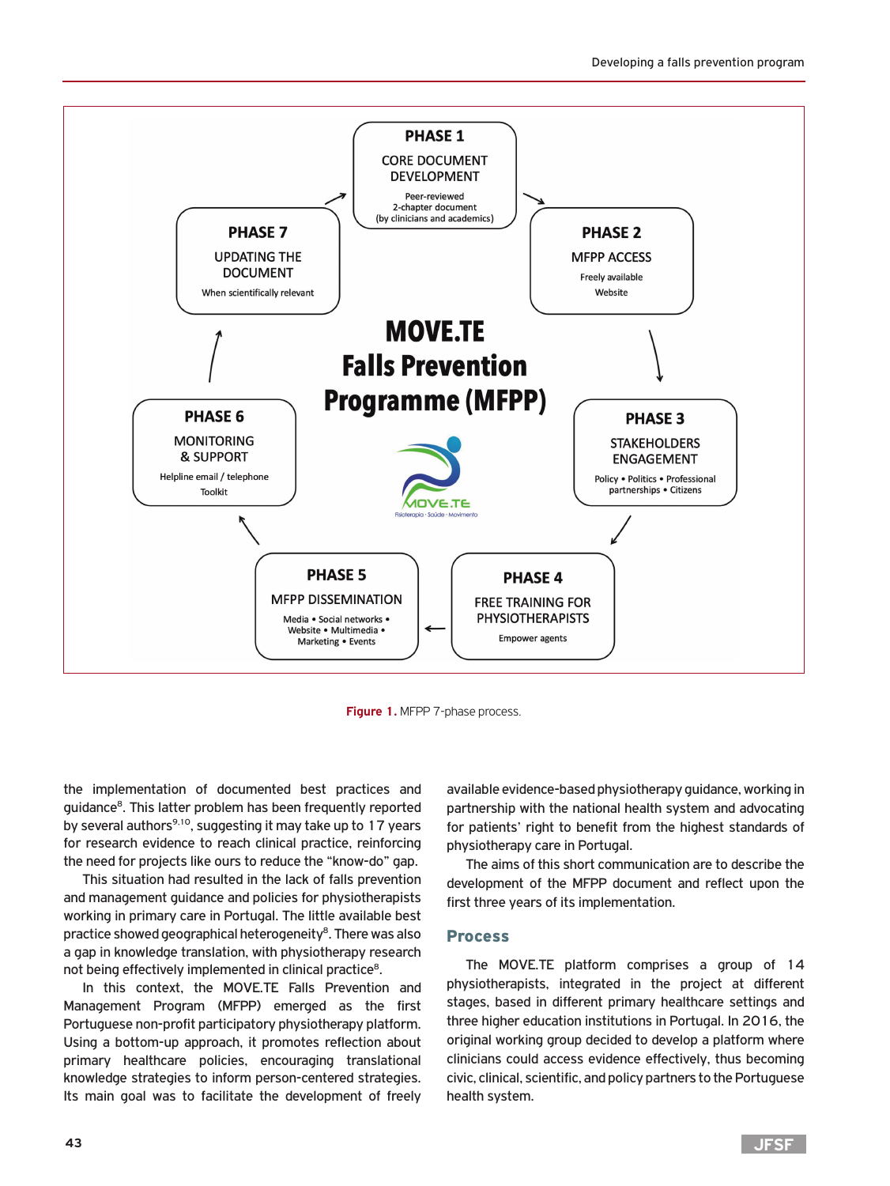

**Figure 1.** MFPP 7-phase process.

the implementation of documented best practices and guidance8. This latter problem has been frequently reported by several authors<sup>9,10</sup>, suggesting it may take up to 17 years for research evidence to reach clinical practice, reinforcing the need for projects like ours to reduce the "know-do" gap.

This situation had resulted in the lack of falls prevention and management guidance and policies for physiotherapists working in primary care in Portugal. The little available best practice showed geographical heterogeneity<sup>8</sup>. There was also a gap in knowledge translation, with physiotherapy research not being effectively implemented in clinical practice<sup>8</sup>.

In this context, the MOVE.TE Falls Prevention and Management Program (MFPP) emerged as the first Portuguese non-profit participatory physiotherapy platform. Using a bottom-up approach, it promotes reflection about primary healthcare policies, encouraging translational knowledge strategies to inform person-centered strategies. Its main goal was to facilitate the development of freely

available evidence-based physiotherapy guidance, working in partnership with the national health system and advocating for patients' right to benefit from the highest standards of physiotherapy care in Portugal.

The aims of this short communication are to describe the development of the MFPP document and reflect upon the first three years of its implementation.

#### Process

The MOVE.TE platform comprises a group of 14 physiotherapists, integrated in the project at different stages, based in different primary healthcare settings and three higher education institutions in Portugal. In 2016, the original working group decided to develop a platform where clinicians could access evidence effectively, thus becoming civic, clinical, scientific, and policy partners to the Portuguese health system.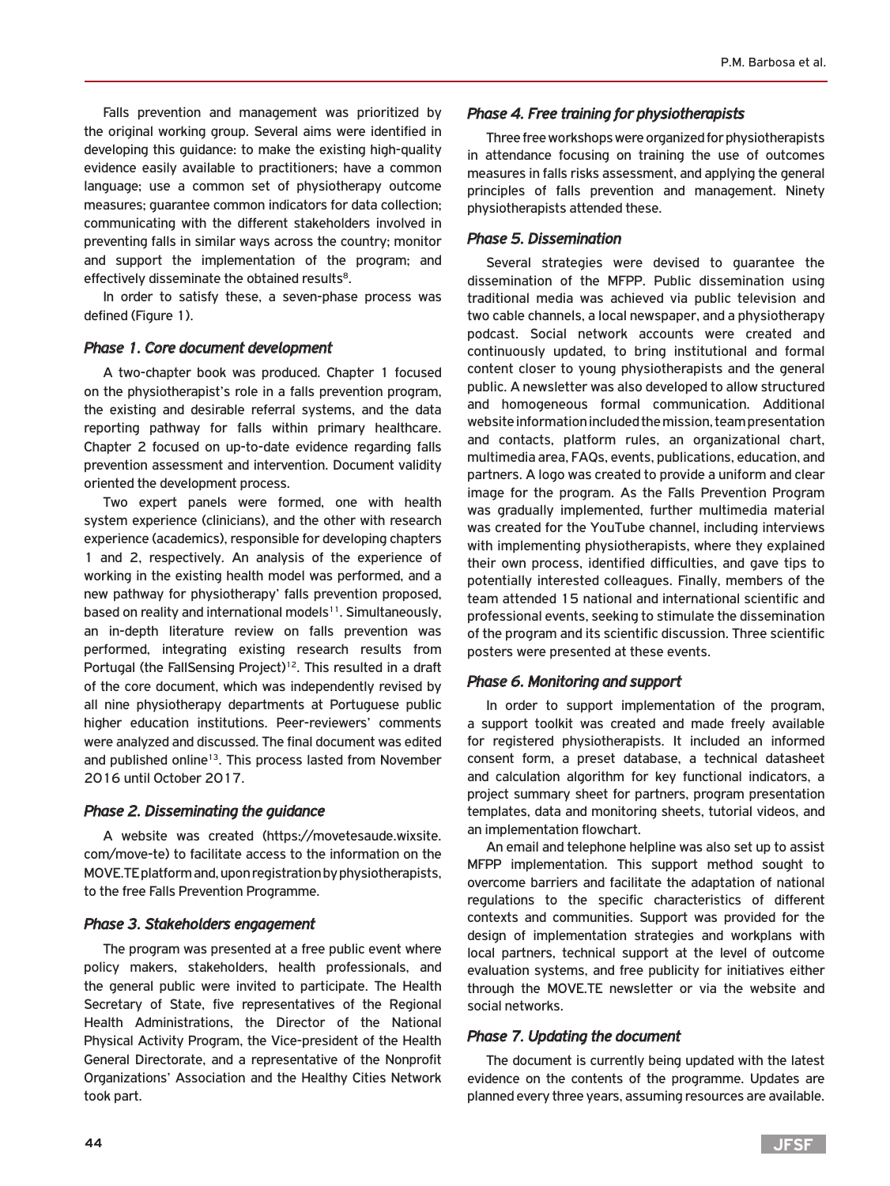Falls prevention and management was prioritized by the original working group. Several aims were identified in developing this guidance: to make the existing high-quality evidence easily available to practitioners; have a common language; use a common set of physiotherapy outcome measures; guarantee common indicators for data collection; communicating with the different stakeholders involved in preventing falls in similar ways across the country; monitor and support the implementation of the program; and effectively disseminate the obtained results<sup>8</sup>.

In order to satisfy these, a seven-phase process was defined (Figure 1).

#### *Phase 1. Core document development*

A two-chapter book was produced. Chapter 1 focused on the physiotherapist's role in a falls prevention program, the existing and desirable referral systems, and the data reporting pathway for falls within primary healthcare. Chapter 2 focused on up-to-date evidence regarding falls prevention assessment and intervention. Document validity oriented the development process.

Two expert panels were formed, one with health system experience (clinicians), and the other with research experience (academics), responsible for developing chapters 1 and 2, respectively. An analysis of the experience of working in the existing health model was performed, and a new pathway for physiotherapy' falls prevention proposed, based on reality and international models<sup>11</sup>. Simultaneously, an in-depth literature review on falls prevention was performed, integrating existing research results from Portugal (the FallSensing Project)<sup>12</sup>. This resulted in a draft of the core document, which was independently revised by all nine physiotherapy departments at Portuguese public higher education institutions. Peer-reviewers' comments were analyzed and discussed. The final document was edited and published online<sup>13</sup>. This process lasted from November 2016 until October 2017.

#### *Phase 2. Disseminating the guidance*

A website was created (https://movetesaude.wixsite. com/move-te) to facilitate access to the information on the MOVE.TE platform and, upon registration by physiotherapists, to the free Falls Prevention Programme.

#### *Phase 3. Stakeholders engagement*

The program was presented at a free public event where policy makers, stakeholders, health professionals, and the general public were invited to participate. The Health Secretary of State, five representatives of the Regional Health Administrations, the Director of the National Physical Activity Program, the Vice-president of the Health General Directorate, and a representative of the Nonprofit Organizations' Association and the Healthy Cities Network took part.

# *Phase 4. Free training for physiotherapists*

Three free workshops were organized for physiotherapists in attendance focusing on training the use of outcomes measures in falls risks assessment, and applying the general principles of falls prevention and management. Ninety physiotherapists attended these.

## *Phase 5. Dissemination*

Several strategies were devised to guarantee the dissemination of the MFPP. Public dissemination using traditional media was achieved via public television and two cable channels, a local newspaper, and a physiotherapy podcast. Social network accounts were created and continuously updated, to bring institutional and formal content closer to young physiotherapists and the general public. A newsletter was also developed to allow structured and homogeneous formal communication. Additional website information included the mission, team presentation and contacts, platform rules, an organizational chart, multimedia area, FAQs, events, publications, education, and partners. A logo was created to provide a uniform and clear image for the program. As the Falls Prevention Program was gradually implemented, further multimedia material was created for the YouTube channel, including interviews with implementing physiotherapists, where they explained their own process, identified difficulties, and gave tips to potentially interested colleagues. Finally, members of the team attended 15 national and international scientific and professional events, seeking to stimulate the dissemination of the program and its scientific discussion. Three scientific posters were presented at these events.

# *Phase 6. Monitoring and support*

In order to support implementation of the program, a support toolkit was created and made freely available for registered physiotherapists. It included an informed consent form, a preset database, a technical datasheet and calculation algorithm for key functional indicators, a project summary sheet for partners, program presentation templates, data and monitoring sheets, tutorial videos, and an implementation flowchart.

An email and telephone helpline was also set up to assist MFPP implementation. This support method sought to overcome barriers and facilitate the adaptation of national regulations to the specific characteristics of different contexts and communities. Support was provided for the design of implementation strategies and workplans with local partners, technical support at the level of outcome evaluation systems, and free publicity for initiatives either through the MOVE.TE newsletter or via the website and social networks.

#### *Phase 7. Updating the document*

The document is currently being updated with the latest evidence on the contents of the programme. Updates are planned every three years, assuming resources are available.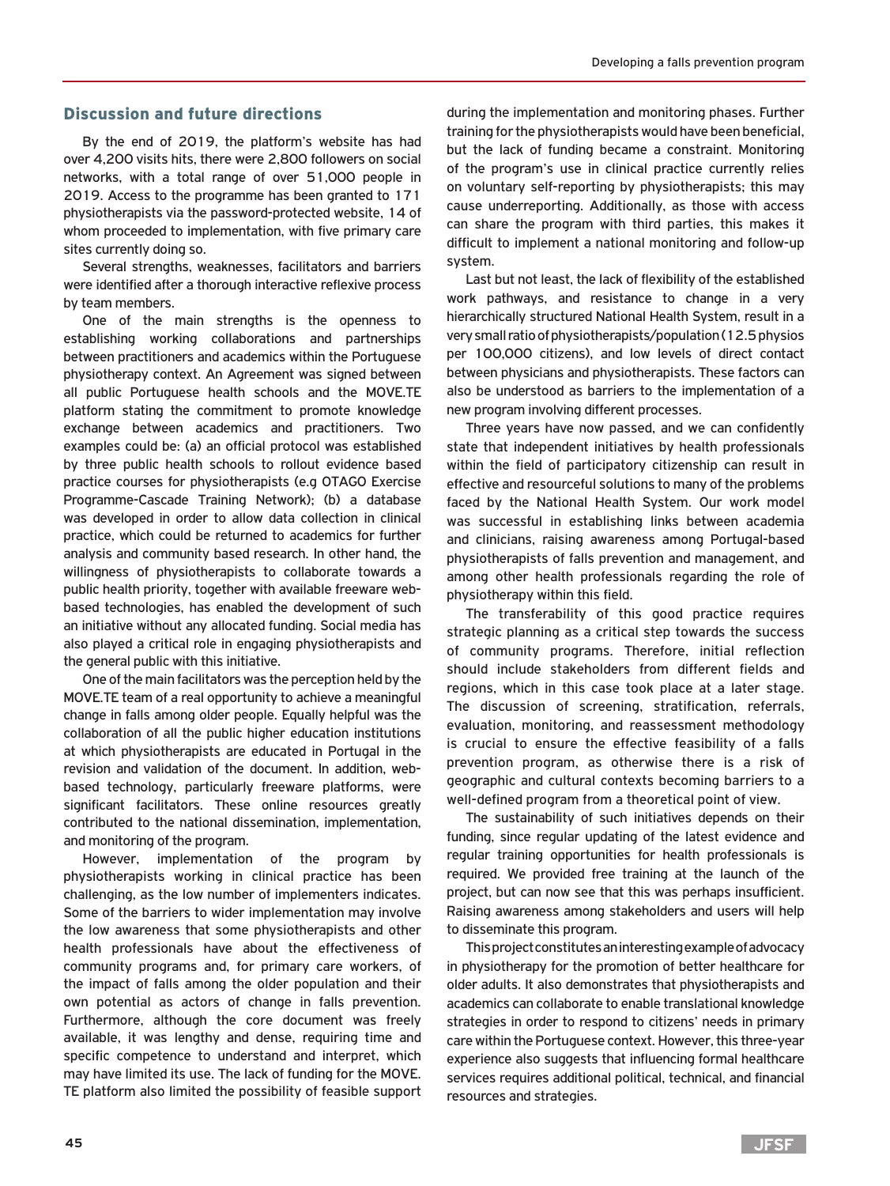# Discussion and future directions

By the end of 2019, the platform's website has had over 4,200 visits hits, there were 2,800 followers on social networks, with a total range of over 51,000 people in 2019. Access to the programme has been granted to 171 physiotherapists via the password-protected website, 14 of whom proceeded to implementation, with five primary care sites currently doing so.

Several strengths, weaknesses, facilitators and barriers were identified after a thorough interactive reflexive process by team members.

One of the main strengths is the openness to establishing working collaborations and partnerships between practitioners and academics within the Portuguese physiotherapy context. An Agreement was signed between all public Portuguese health schools and the MOVE.TE platform stating the commitment to promote knowledge exchange between academics and practitioners. Two examples could be: (a) an official protocol was established by three public health schools to rollout evidence based practice courses for physiotherapists (e.g OTAGO Exercise Programme-Cascade Training Network); (b) a database was developed in order to allow data collection in clinical practice, which could be returned to academics for further analysis and community based research. In other hand, the willingness of physiotherapists to collaborate towards a public health priority, together with available freeware webbased technologies, has enabled the development of such an initiative without any allocated funding. Social media has also played a critical role in engaging physiotherapists and the general public with this initiative.

One of the main facilitators was the perception held by the MOVE.TE team of a real opportunity to achieve a meaningful change in falls among older people. Equally helpful was the collaboration of all the public higher education institutions at which physiotherapists are educated in Portugal in the revision and validation of the document. In addition, webbased technology, particularly freeware platforms, were significant facilitators. These online resources greatly contributed to the national dissemination, implementation, and monitoring of the program.

However, implementation of the program by physiotherapists working in clinical practice has been challenging, as the low number of implementers indicates. Some of the barriers to wider implementation may involve the low awareness that some physiotherapists and other health professionals have about the effectiveness of community programs and, for primary care workers, of the impact of falls among the older population and their own potential as actors of change in falls prevention. Furthermore, although the core document was freely available, it was lengthy and dense, requiring time and specific competence to understand and interpret, which may have limited its use. The lack of funding for the MOVE. TE platform also limited the possibility of feasible support

during the implementation and monitoring phases. Further training for the physiotherapists would have been beneficial, but the lack of funding became a constraint. Monitoring of the program's use in clinical practice currently relies on voluntary self-reporting by physiotherapists; this may cause underreporting. Additionally, as those with access can share the program with third parties, this makes it difficult to implement a national monitoring and follow-up system.

Last but not least, the lack of flexibility of the established work pathways, and resistance to change in a very hierarchically structured National Health System, result in a very small ratio of physiotherapists/population (12.5 physios per 100,000 citizens), and low levels of direct contact between physicians and physiotherapists. These factors can also be understood as barriers to the implementation of a new program involving different processes.

Three years have now passed, and we can confidently state that independent initiatives by health professionals within the field of participatory citizenship can result in effective and resourceful solutions to many of the problems faced by the National Health System. Our work model was successful in establishing links between academia and clinicians, raising awareness among Portugal-based physiotherapists of falls prevention and management, and among other health professionals regarding the role of physiotherapy within this field.

The transferability of this good practice requires strategic planning as a critical step towards the success of community programs. Therefore, initial reflection should include stakeholders from different fields and regions, which in this case took place at a later stage. The discussion of screening, stratification, referrals, evaluation, monitoring, and reassessment methodology is crucial to ensure the effective feasibility of a falls prevention program, as otherwise there is a risk of geographic and cultural contexts becoming barriers to a well-defined program from a theoretical point of view.

The sustainability of such initiatives depends on their funding, since regular updating of the latest evidence and regular training opportunities for health professionals is required. We provided free training at the launch of the project, but can now see that this was perhaps insufficient. Raising awareness among stakeholders and users will help to disseminate this program.

This project constitutes an interesting example of advocacy in physiotherapy for the promotion of better healthcare for older adults. It also demonstrates that physiotherapists and academics can collaborate to enable translational knowledge strategies in order to respond to citizens' needs in primary care within the Portuguese context. However, this three-year experience also suggests that influencing formal healthcare services requires additional political, technical, and financial resources and strategies.